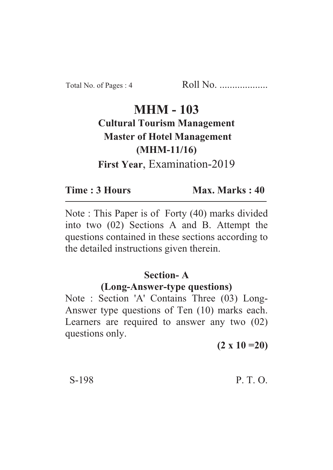# **MHM - 103 Cultural Tourism Management Master of Hotel Management (MHM-11/16)** (*MH*<sub>ma</sub>ningti **First Year**, Examination-2019

#### Time: 3 Hours **Time : 3 Hours Max. Marks : 40**

Note : This Paper is of Forty (40) marks divided into two (02) Sections A and B. Attempt the questions contained in these sections according to the detailed instructions given therein.

### **Section-A**

#### **(Long-Answer-type questions)**

Note : Section 'A' Contains Three (03) Long-Answer type questions of Ten (10) marks each. Learners are required to answer any two (02) questions only.

**(2 x 10 =20)**

### S-198 P. T. O.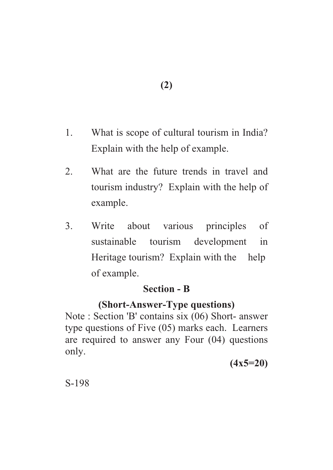- 1. What is scope of cultural tourism in India? Explain with the help of example.
- 2. What are the future trends in travel and tourism industry? Explain with the help of example.
- 3. Write about various principles of sustainable tourism development in Heritage tourism? Explain with the help of example.

# **Section - B**

# **(Short-Answer-Type questions)**

Note : Section 'B' contains six (06) Short- answer type questions of Five (05) marks each. Learners are required to answer any Four (04) questions only.

**(4x5=20)**

S-198